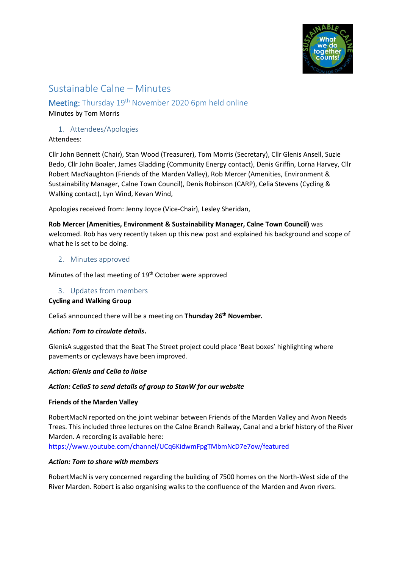

# Sustainable Calne – Minutes

# Meeting: Thursday 19<sup>th</sup> November 2020 6pm held online

# Minutes by Tom Morris

# 1. Attendees/Apologies

Attendees:

Cllr John Bennett (Chair), Stan Wood (Treasurer), Tom Morris (Secretary), Cllr Glenis Ansell, Suzie Bedo, Cllr John Boaler, James Gladding (Community Energy contact), Denis Griffin, Lorna Harvey, Cllr Robert MacNaughton (Friends of the Marden Valley), Rob Mercer (Amenities, Environment & Sustainability Manager, Calne Town Council), Denis Robinson (CARP), Celia Stevens (Cycling & Walking contact), Lyn Wind, Kevan Wind,

Apologies received from: Jenny Joyce (Vice-Chair), Lesley Sheridan,

**Rob Mercer (Amenities, Environment & Sustainability Manager, Calne Town Council)** was welcomed. Rob has very recently taken up this new post and explained his background and scope of what he is set to be doing.

## 2. Minutes approved

Minutes of the last meeting of 19<sup>th</sup> October were approved

# 3. Updates from members

#### **Cycling and Walking Group**

CeliaS announced there will be a meeting on **Thursday 26th November.**

#### *Action: Tom to circulate details***.**

GlenisA suggested that the Beat The Street project could place 'Beat boxes' highlighting where pavements or cycleways have been improved.

#### *Action: Glenis and Celia to liaise*

#### *Action: CeliaS to send details of group to StanW for our website*

#### **Friends of the Marden Valley**

RobertMacN reported on the joint webinar between Friends of the Marden Valley and Avon Needs Trees. This included three lectures on the Calne Branch Railway, Canal and a brief history of the River Marden. A recording is available here:

<https://www.youtube.com/channel/UCq6KidwmFpgTMbmNcD7e7ow/featured>

# *Action: Tom to share with members*

RobertMacN is very concerned regarding the building of 7500 homes on the North-West side of the River Marden. Robert is also organising walks to the confluence of the Marden and Avon rivers.